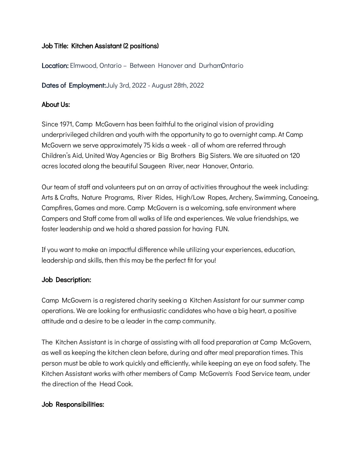# Job Title: Kitchen Assistant (2 positions)

**Location:** Elmwood, Ontario – Between Hanover and DurhamOntario

Dates of Employment: July 3rd, 2022 - August 28th, 2022

## About Us:

Since 1971, Camp McGovern has been faithful to the original vision of providing underprivileged children and youth with the opportunity to go to overnight camp. At Camp McGovern we serve approximately 75 kids a week - all of whom are referred through Children's Aid, United Way Agencies or Big Brothers Big Sisters. We are situated on 120 acres located along the beautiful Saugeen River, near Hanover, Ontario.

Our team of staff and volunteers put on an array of activities throughout the week including: Arts & Crafts, Nature Programs, River Rides, High/Low Ropes, Archery, Swimming, Canoeing, Campfires, Games and more. Camp McGovern is a welcoming, safe environment where Campers and Staff come from all walks of life and experiences. We value friendships, we foster leadership and we hold a shared passion for having FUN.

If you want to make an impactful difference while utilizing your experiences, education, leadership and skills, then this may be the perfect fit for you!

### Job Description:

Camp McGovern is a registered charity seeking a Kitchen Assistant for our summer camp operations. We are looking for enthusiastic candidates who have a big heart, a positive attitude and a desire to be a leader in the camp community.

The Kitchen Assistant is in charge of assisting with all food preparation at Camp McGovern, as well as keeping the kitchen clean before, during and after meal preparation times. This person must be able to work quickly and efficiently, while keeping an eye on food safety. The Kitchen Assistant works with other members of Camp McGovern's Food Service team, under the direction of the Head Cook.

# Job Responsibilities: